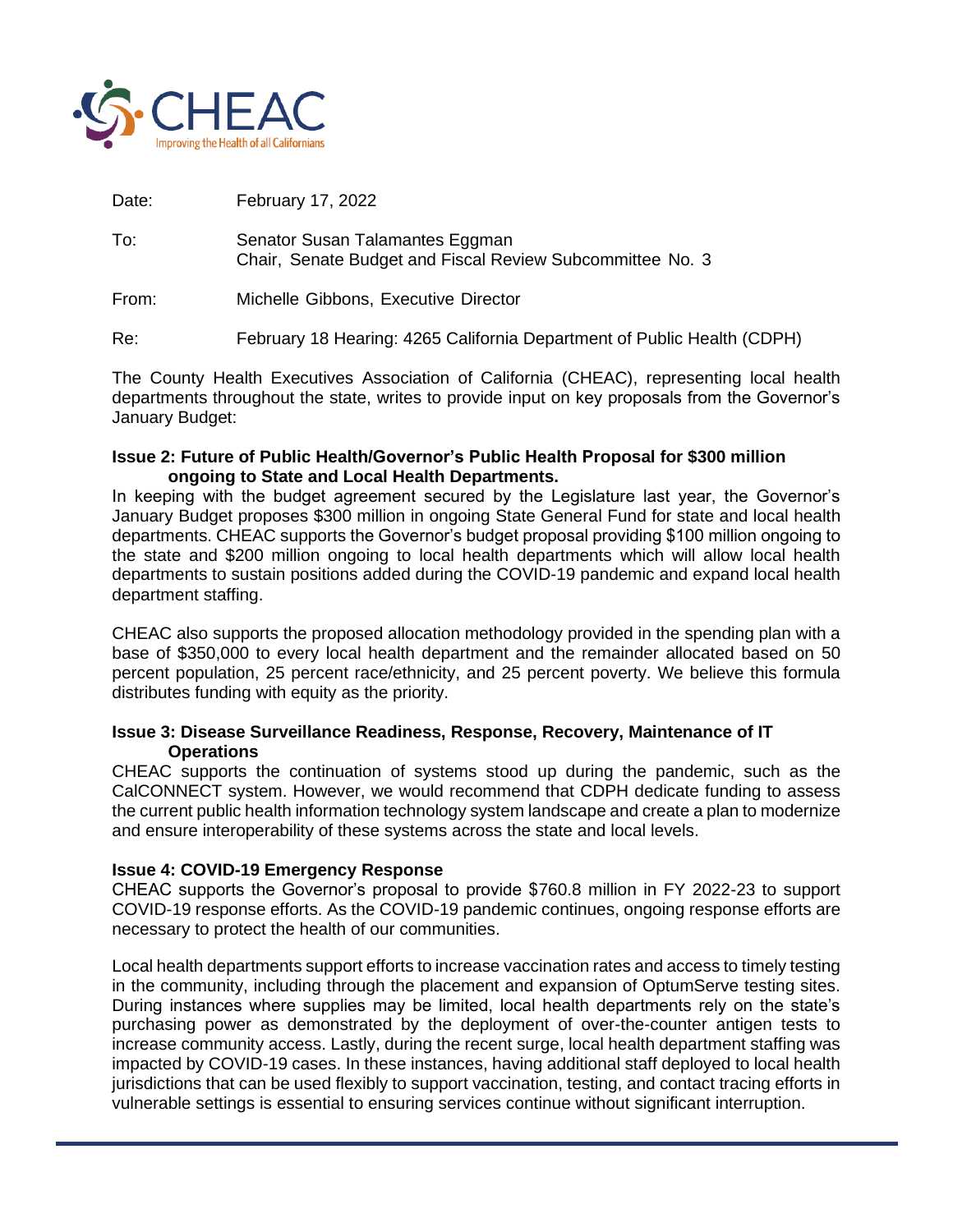

Date: February 17, 2022

- To: Senator Susan Talamantes Eggman Chair, Senate Budget and Fiscal Review Subcommittee No. 3
- From: Michelle Gibbons, Executive Director

Re: February 18 Hearing: 4265 California Department of Public Health (CDPH)

The County Health Executives Association of California (CHEAC), representing local health departments throughout the state, writes to provide input on key proposals from the Governor's January Budget:

#### **Issue 2: Future of Public Health/Governor's Public Health Proposal for \$300 million ongoing to State and Local Health Departments.**

In keeping with the budget agreement secured by the Legislature last year, the Governor's January Budget proposes \$300 million in ongoing State General Fund for state and local health departments. CHEAC supports the Governor's budget proposal providing \$100 million ongoing to the state and \$200 million ongoing to local health departments which will allow local health departments to sustain positions added during the COVID-19 pandemic and expand local health department staffing.

CHEAC also supports the proposed allocation methodology provided in the spending plan with a base of \$350,000 to every local health department and the remainder allocated based on 50 percent population, 25 percent race/ethnicity, and 25 percent poverty. We believe this formula distributes funding with equity as the priority.

## **Issue 3: Disease Surveillance Readiness, Response, Recovery, Maintenance of IT Operations**

CHEAC supports the continuation of systems stood up during the pandemic, such as the CalCONNECT system. However, we would recommend that CDPH dedicate funding to assess the current public health information technology system landscape and create a plan to modernize and ensure interoperability of these systems across the state and local levels.

# **Issue 4: COVID-19 Emergency Response**

CHEAC supports the Governor's proposal to provide \$760.8 million in FY 2022-23 to support COVID-19 response efforts. As the COVID-19 pandemic continues, ongoing response efforts are necessary to protect the health of our communities.

Local health departments support efforts to increase vaccination rates and access to timely testing in the community, including through the placement and expansion of OptumServe testing sites. During instances where supplies may be limited, local health departments rely on the state's purchasing power as demonstrated by the deployment of over-the-counter antigen tests to increase community access. Lastly, during the recent surge, local health department staffing was impacted by COVID-19 cases. In these instances, having additional staff deployed to local health jurisdictions that can be used flexibly to support vaccination, testing, and contact tracing efforts in vulnerable settings is essential to ensuring services continue without significant interruption.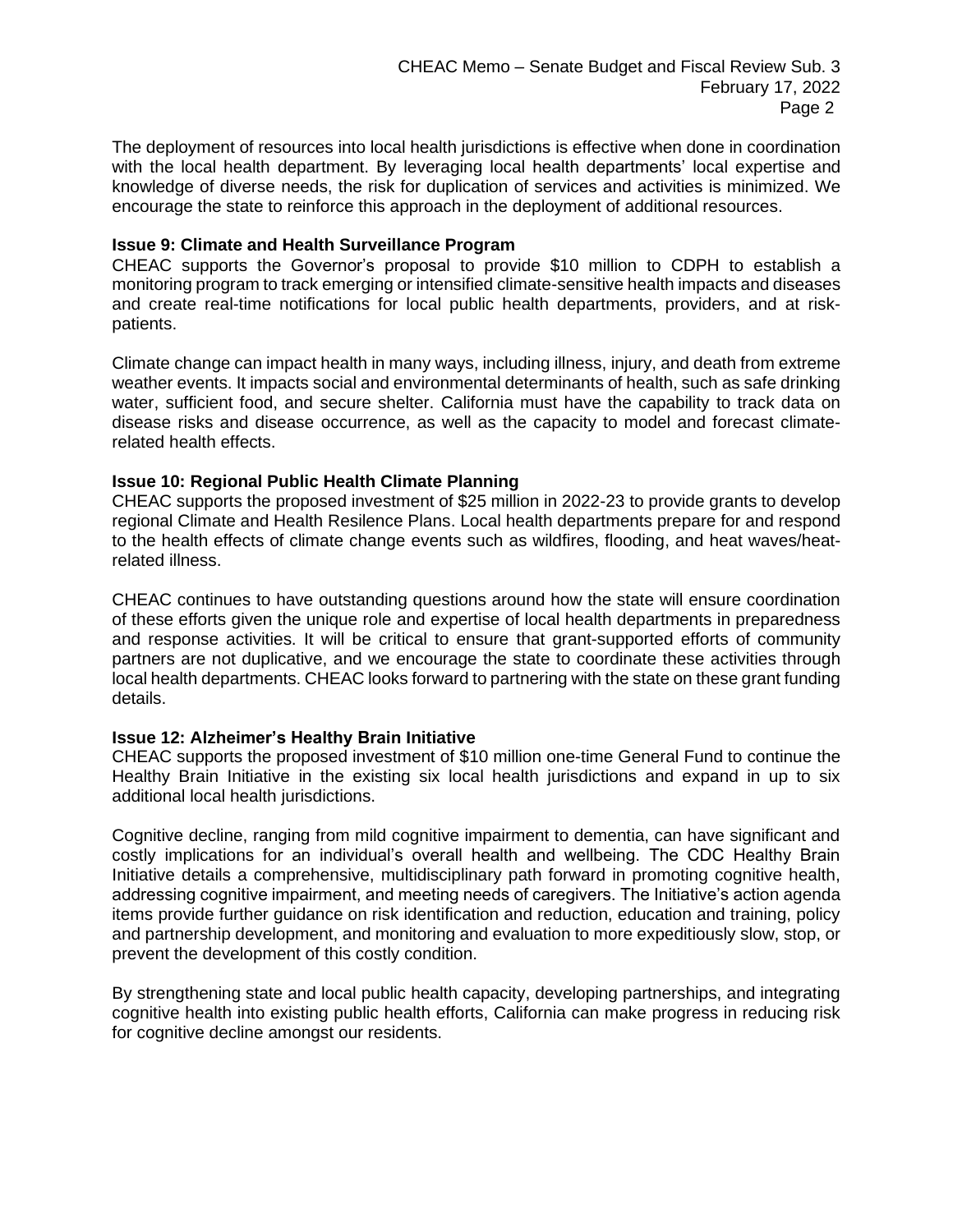The deployment of resources into local health jurisdictions is effective when done in coordination with the local health department. By leveraging local health departments' local expertise and knowledge of diverse needs, the risk for duplication of services and activities is minimized. We encourage the state to reinforce this approach in the deployment of additional resources.

### **Issue 9: Climate and Health Surveillance Program**

CHEAC supports the Governor's proposal to provide \$10 million to CDPH to establish a monitoring program to track emerging or intensified climate-sensitive health impacts and diseases and create real-time notifications for local public health departments, providers, and at riskpatients.

Climate change can impact health in many ways, including illness, injury, and death from extreme weather events. It impacts social and environmental determinants of health, such as safe drinking water, sufficient food, and secure shelter. California must have the capability to track data on disease risks and disease occurrence, as well as the capacity to model and forecast climaterelated health effects.

## **Issue 10: Regional Public Health Climate Planning**

CHEAC supports the proposed investment of \$25 million in 2022-23 to provide grants to develop regional Climate and Health Resilence Plans. Local health departments prepare for and respond to the health effects of climate change events such as wildfires, flooding, and heat waves/heatrelated illness.

CHEAC continues to have outstanding questions around how the state will ensure coordination of these efforts given the unique role and expertise of local health departments in preparedness and response activities. It will be critical to ensure that grant-supported efforts of community partners are not duplicative, and we encourage the state to coordinate these activities through local health departments. CHEAC looks forward to partnering with the state on these grant funding details.

#### **Issue 12: Alzheimer's Healthy Brain Initiative**

CHEAC supports the proposed investment of \$10 million one-time General Fund to continue the Healthy Brain Initiative in the existing six local health jurisdictions and expand in up to six additional local health jurisdictions.

Cognitive decline, ranging from mild cognitive impairment to dementia, can have significant and costly implications for an individual's overall health and wellbeing. The CDC Healthy Brain Initiative details a comprehensive, multidisciplinary path forward in promoting cognitive health, addressing cognitive impairment, and meeting needs of caregivers. The Initiative's action agenda items provide further guidance on risk identification and reduction, education and training, policy and partnership development, and monitoring and evaluation to more expeditiously slow, stop, or prevent the development of this costly condition.

By strengthening state and local public health capacity, developing partnerships, and integrating cognitive health into existing public health efforts, California can make progress in reducing risk for cognitive decline amongst our residents.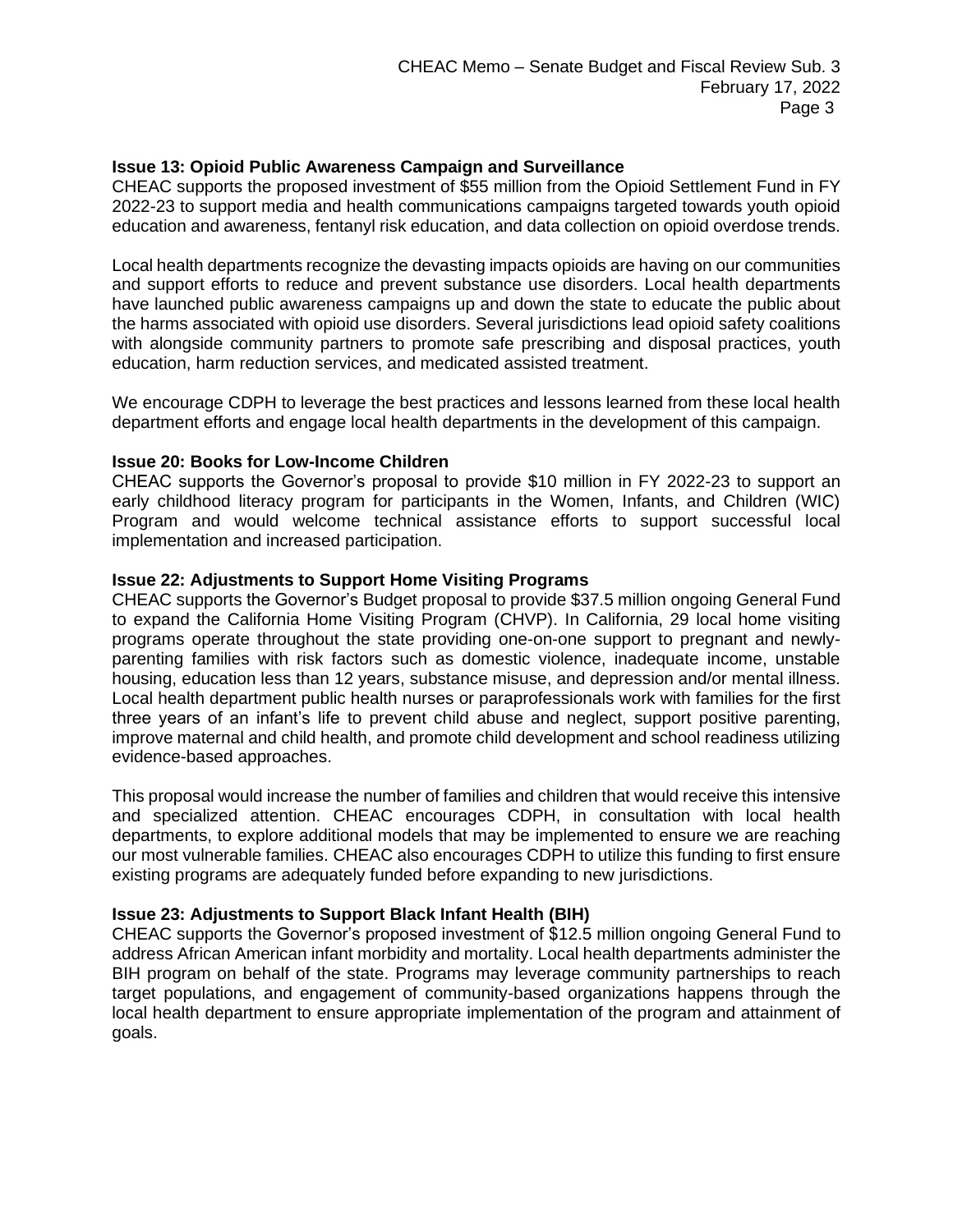## **Issue 13: Opioid Public Awareness Campaign and Surveillance**

CHEAC supports the proposed investment of \$55 million from the Opioid Settlement Fund in FY 2022-23 to support media and health communications campaigns targeted towards youth opioid education and awareness, fentanyl risk education, and data collection on opioid overdose trends.

Local health departments recognize the devasting impacts opioids are having on our communities and support efforts to reduce and prevent substance use disorders. Local health departments have launched public awareness campaigns up and down the state to educate the public about the harms associated with opioid use disorders. Several jurisdictions lead opioid safety coalitions with alongside community partners to promote safe prescribing and disposal practices, youth education, harm reduction services, and medicated assisted treatment.

We encourage CDPH to leverage the best practices and lessons learned from these local health department efforts and engage local health departments in the development of this campaign.

## **Issue 20: Books for Low-Income Children**

CHEAC supports the Governor's proposal to provide \$10 million in FY 2022-23 to support an early childhood literacy program for participants in the Women, Infants, and Children (WIC) Program and would welcome technical assistance efforts to support successful local implementation and increased participation.

#### **Issue 22: Adjustments to Support Home Visiting Programs**

CHEAC supports the Governor's Budget proposal to provide \$37.5 million ongoing General Fund to expand the California Home Visiting Program (CHVP). In California, 29 local home visiting programs operate throughout the state providing one-on-one support to pregnant and newlyparenting families with risk factors such as domestic violence, inadequate income, unstable housing, education less than 12 years, substance misuse, and depression and/or mental illness. Local health department public health nurses or paraprofessionals work with families for the first three years of an infant's life to prevent child abuse and neglect, support positive parenting, improve maternal and child health, and promote child development and school readiness utilizing evidence-based approaches.

This proposal would increase the number of families and children that would receive this intensive and specialized attention. CHEAC encourages CDPH, in consultation with local health departments, to explore additional models that may be implemented to ensure we are reaching our most vulnerable families. CHEAC also encourages CDPH to utilize this funding to first ensure existing programs are adequately funded before expanding to new jurisdictions.

#### **Issue 23: Adjustments to Support Black Infant Health (BIH)**

CHEAC supports the Governor's proposed investment of \$12.5 million ongoing General Fund to address African American infant morbidity and mortality. Local health departments administer the BIH program on behalf of the state. Programs may leverage community partnerships to reach target populations, and engagement of community-based organizations happens through the local health department to ensure appropriate implementation of the program and attainment of goals.